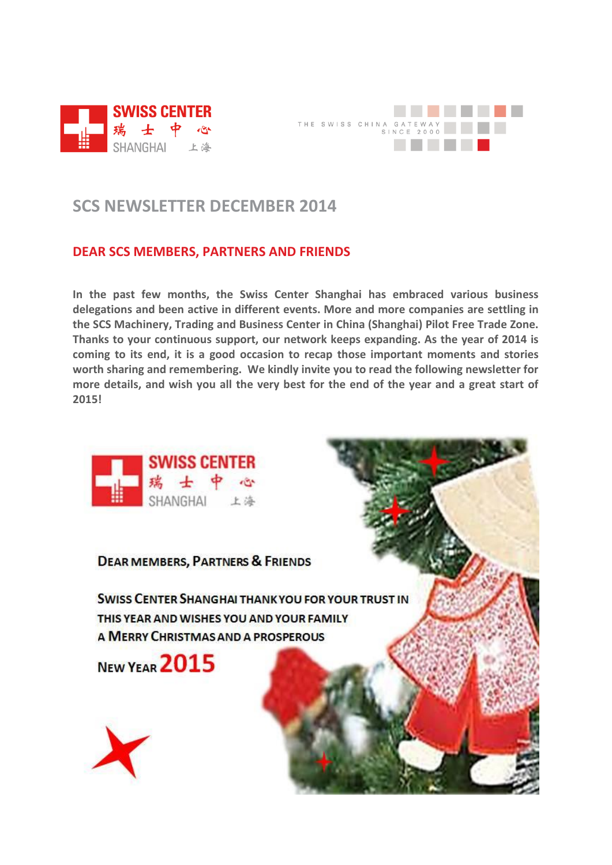



## **SCS NEWSLETTER DECEMBER 2014**

## **DEAR SCS MEMBERS, PARTNERS AND FRIENDS**

**In the past few months, the Swiss Center Shanghai has embraced various business delegations and been active in different events. More and more companies are settling in the SCS Machinery, Trading and Business Center in China (Shanghai) Pilot Free Trade Zone. Thanks to your continuous support, our network keeps expanding. As the year of 2014 is coming to its end, it is a good occasion to recap those important moments and stories worth sharing and remembering. We kindly invite you to read the following newsletter for more details, and wish you all the very best for the end of the year and a great start of 2015!**



**DEAR MEMBERS, PARTNERS & FRIENDS** 

**SWISS CENTER SHANGHAI THANK YOU FOR YOUR TRUST IN** THIS YEAR AND WISHES YOU AND YOUR FAMILY A MERRY CHRISTMAS AND A PROSPEROUS

NEW YEAR 2015

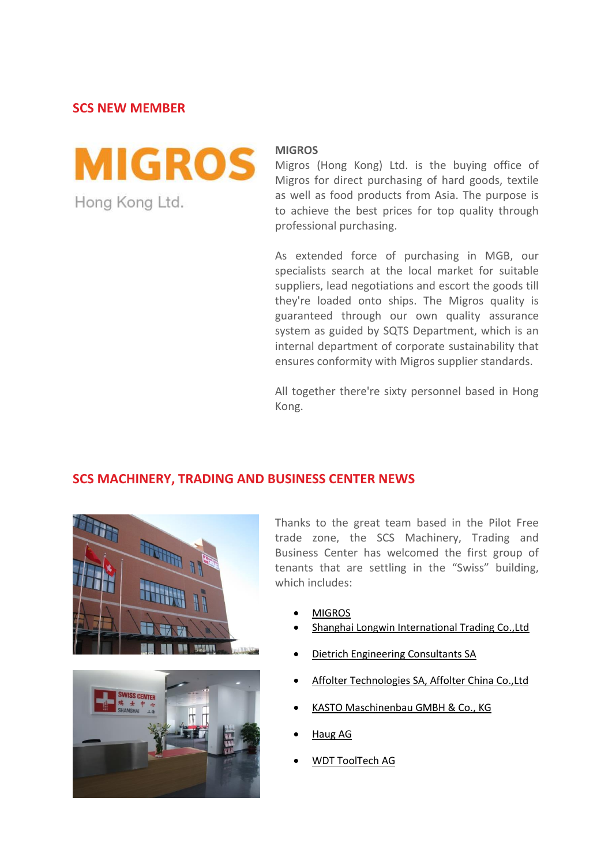**SCS NEW MEMBER**



#### **MIGROS**

Migros (Hong Kong) Ltd. is the buying office of Migros for direct purchasing of hard goods, textile as well as food products from Asia. The purpose is to achieve the best prices for top quality through professional purchasing.

As extended force of purchasing in MGB, our specialists search at the local market for suitable suppliers, lead negotiations and escort the goods till they're loaded onto ships. The Migros quality is guaranteed through our own quality assurance system as guided by SQTS Department, which is an internal department of corporate sustainability that ensures conformity with Migros supplier standards.

All together there're sixty personnel based in Hong Kong.

## **SCS MACHINERY, TRADING AND BUSINESS CENTER NEWS**





Thanks to the great team based in the Pilot Free trade zone, the SCS Machinery, Trading and Business Center has welcomed the first group of tenants that are settling in the "Swiss" building, which includes:

- [MIGROS](http://www.migros.ch/de.html)
- [Shanghai Longwin International Trading Co.,Ltd](http://www.longwinlgs.com/)
- [Dietrich Engineering Consultants SA](http://www.dec-group.net/)
- [Affolter Technologies SA, Affolter China Co.,Ltd](http://www.affolterchina.cn/1045/1046/1047.asp)
- [KASTO Maschinenbau GMBH & Co., KG](http://www.kasto.de/)
- [Haug AG](http://www.haug.ch/home.htm?id=1)
- [WDT ToolTech AG](http://www.wdt-tooltech.ch/)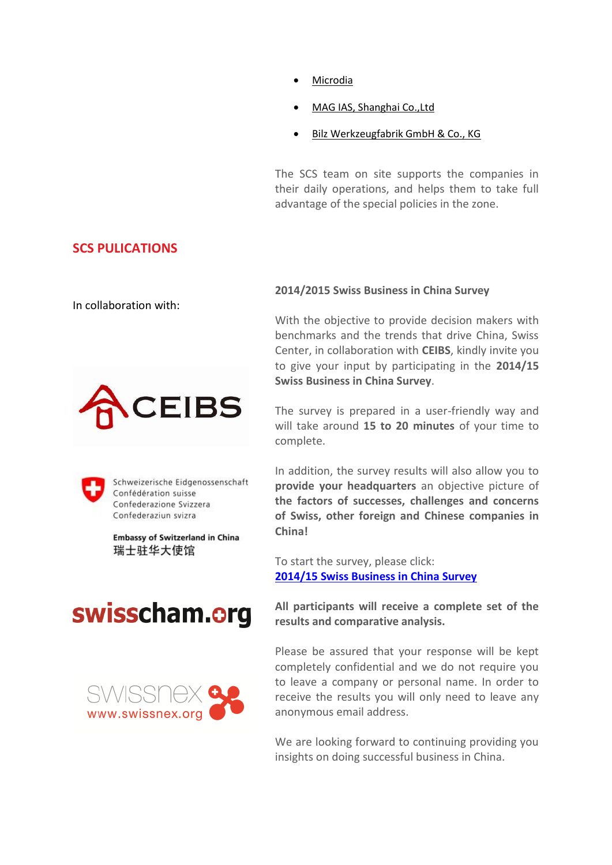- [Microdia](http://www.microdia.ch/en/)
- [MAG IAS, Shanghai Co.,Ltd](http://www.mag-ias.com/web/de/index.php)
- [Bilz Werkzeugfabrik GmbH & Co., KG](http://www.bilz.de/)

The SCS team on site supports the companies in their daily operations, and helps them to take full advantage of the special policies in the zone.

## **SCS PULICATIONS**

In collaboration with:





Schweizerische Eidgenossenschaft Confédération suisse Confederazione Svizzera Confederaziun svizra

**Embassy of Switzerland in China** 瑞士驻华大使馆

# swisscham.org



### **2014/2015 Swiss Business in China Survey**

With the objective to provide decision makers with benchmarks and the trends that drive China, Swiss Center, in collaboration with **CEIBS**, kindly invite you to give your input by participating in the **2014/15 Swiss Business in China Survey**.

The survey is prepared in a user-friendly way and will take around **15 to 20 minutes** of your time to complete.

In addition, the survey results will also allow you to **provide your headquarters** an objective picture of **the factors of successes, challenges and concerns of Swiss, other foreign and Chinese companies in China!**

To start the survey, please click: **[2014/15 Swiss Business in China Survey](http://qualtrasia.asia.qualtrics.com/SE/?SID=SV_0oknGJFq7YW5HfL)**

**All participants will receive a complete set of the results and comparative analysis.**

Please be assured that your response will be kept completely confidential and we do not require you to leave a company or personal name. In order to receive the results you will only need to leave any anonymous email address.

We are looking forward to continuing providing you insights on doing successful business in China.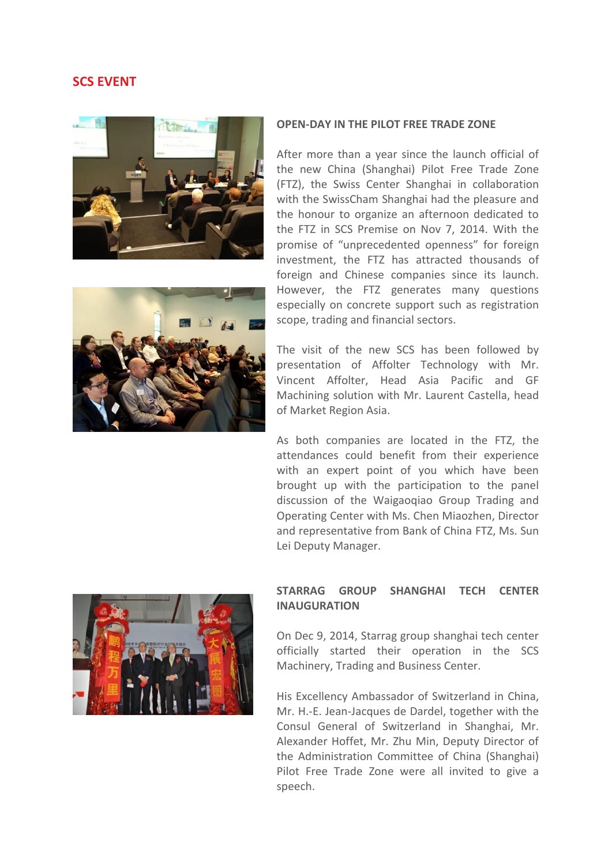## **SCS EVENT**





#### **OPEN-DAY IN THE PILOT FREE TRADE ZONE**

After more than a year since the launch official of the new China (Shanghai) Pilot Free Trade Zone (FTZ), the Swiss Center Shanghai in collaboration with the SwissCham Shanghai had the pleasure and the honour to organize an afternoon dedicated to the FTZ in SCS Premise on Nov 7, 2014. With the promise of "unprecedented openness" for foreign investment, the FTZ has attracted thousands of foreign and Chinese companies since its launch. However, the FTZ generates many questions especially on concrete support such as registration scope, trading and financial sectors.

The visit of the new SCS has been followed by presentation of Affolter Technology with Mr. Vincent Affolter, Head Asia Pacific and GF Machining solution with Mr. Laurent Castella, head of Market Region Asia.

As both companies are located in the FTZ, the attendances could benefit from their experience with an expert point of you which have been brought up with the participation to the panel discussion of the Waigaoqiao Group Trading and Operating Center with Ms. Chen Miaozhen, Director and representative from Bank of China FTZ, Ms. Sun Lei Deputy Manager.



### **STARRAG GROUP SHANGHAI TECH CENTER INAUGURATION**

On Dec 9, 2014, Starrag group shanghai tech center officially started their operation in the SCS Machinery, Trading and Business Center.

His Excellency Ambassador of Switzerland in China, Mr. H.-E. Jean-Jacques de Dardel, together with the Consul General of Switzerland in Shanghai, Mr. Alexander Hoffet, Mr. Zhu Min, Deputy Director of the Administration Committee of China (Shanghai) Pilot Free Trade Zone were all invited to give a speech.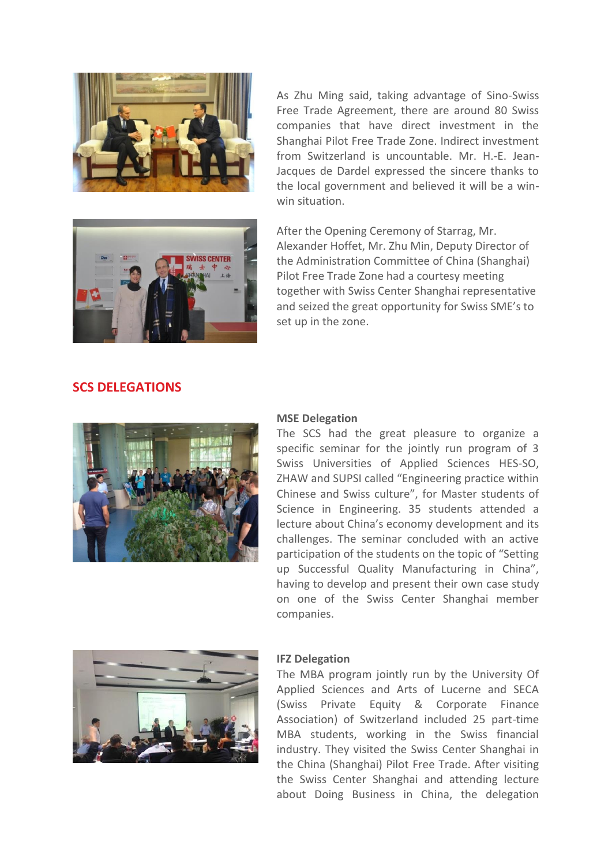



As Zhu Ming said, taking advantage of Sino-Swiss Free Trade Agreement, there are around 80 Swiss companies that have direct investment in the Shanghai Pilot Free Trade Zone. Indirect investment from Switzerland is uncountable. Mr. H.-E. Jean-Jacques de Dardel expressed the sincere thanks to the local government and believed it will be a winwin situation.

After the Opening Ceremony of Starrag, Mr. Alexander Hoffet, Mr. Zhu Min, Deputy Director of the Administration Committee of China (Shanghai) Pilot Free Trade Zone had a courtesy meeting together with Swiss Center Shanghai representative and seized the great opportunity for Swiss SME's to set up in the zone.

## **SCS DELEGATIONS**



#### **MSE Delegation**

The SCS had the great pleasure to organize a specific seminar for the jointly run program of 3 Swiss Universities of Applied Sciences HES-SO, ZHAW and SUPSI called "Engineering practice within Chinese and Swiss culture", for Master students of Science in Engineering. 35 students attended a lecture about China's economy development and its challenges. The seminar concluded with an active participation of the students on the topic of "Setting up Successful Quality Manufacturing in China", having to develop and present their own case study on one of the Swiss Center Shanghai member companies.



#### **IFZ Delegation**

The MBA program jointly run by the University Of Applied Sciences and Arts of Lucerne and SECA (Swiss Private Equity & Corporate Finance Association) of Switzerland included 25 part-time MBA students, working in the Swiss financial industry. They visited the Swiss Center Shanghai in the China (Shanghai) Pilot Free Trade. After visiting the Swiss Center Shanghai and attending lecture about Doing Business in China, the delegation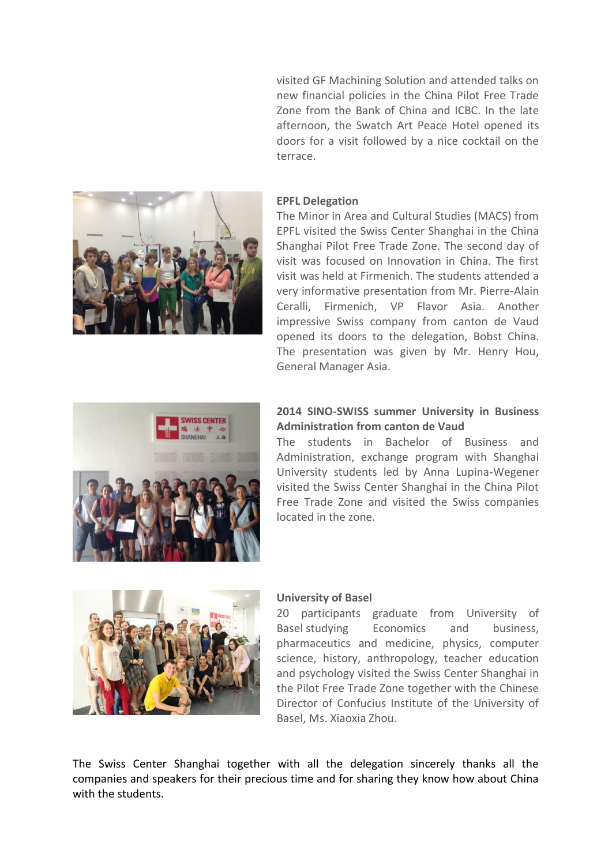visited GF Machining Solution and attended talks on new financial policies in the China Pilot Free Trade Zone from the Bank of China and ICBC. In the late afternoon, the Swatch Art Peace Hotel opened its doors for a visit followed by a nice cocktail on the terrace.



#### **EPFL Delegation**

The Minor in Area and Cultural Studies (MACS) from EPFL visited the Swiss Center Shanghai in the China Shanghai Pilot Free Trade Zone. The second day of visit was focused on Innovation in China. The first visit was held at Firmenich. The students attended a very informative presentation from Mr. Pierre-Alain Ceralli, Firmenich, VP Flavor Asia. Another impressive Swiss company from canton de Vaud opened its doors to the delegation, Bobst China. The presentation was given by Mr. Henry Hou, General Manager Asia.



#### **2014 SINO-SWISS summer University in Business Administration from canton de Vaud**

The students in Bachelor of Business and Administration, exchange program with Shanghai University students led by Anna Lupina-Wegener visited the Swiss Center Shanghai in the China Pilot Free Trade Zone and visited the Swiss companies located in the zone.



#### **University of Basel**

20 participants graduate from University of Basel studying Economics and business, pharmaceutics and medicine, physics, computer science, history, anthropology, teacher education and psychology visited the Swiss Center Shanghai in the Pilot Free Trade Zone together with the Chinese Director of Confucius Institute of the University of Basel, Ms. Xiaoxia Zhou.

The Swiss Center Shanghai together with all the delegation sincerely thanks all the companies and speakers for their precious time and for sharing they know how about China with the students.